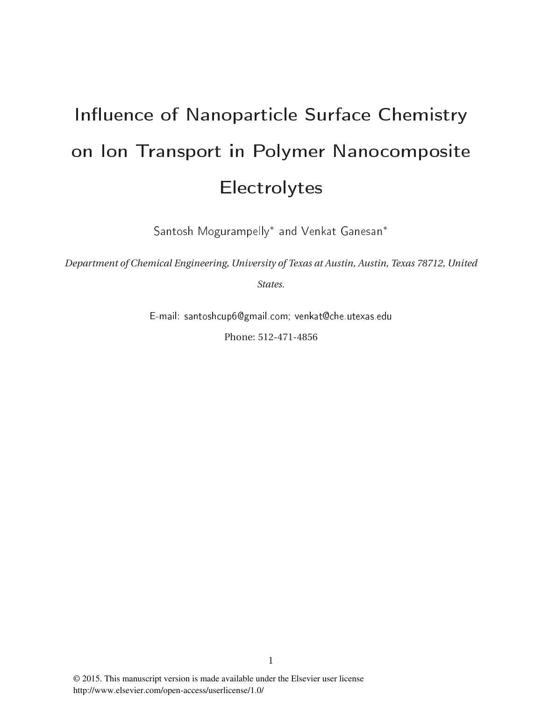# Influence of Nanoparticle Surface Chemistry on Ion Transport in Polymer Nanocomposite **Electrolytes**

Santosh Mogurampelly∗ and Venkat Ganesan∗

*Department of Chemical Engineering, University of Texas at Austin, Austin, Texas 78712, United States.*

E-mail: santoshcup6@gmail.com; venkat@che.utexas.edu

Phone: 512-471-4856

© 2015. This manuscript version is made available under the Elsevier user license http://www.elsevier.com/open-access/userlicense/1.0/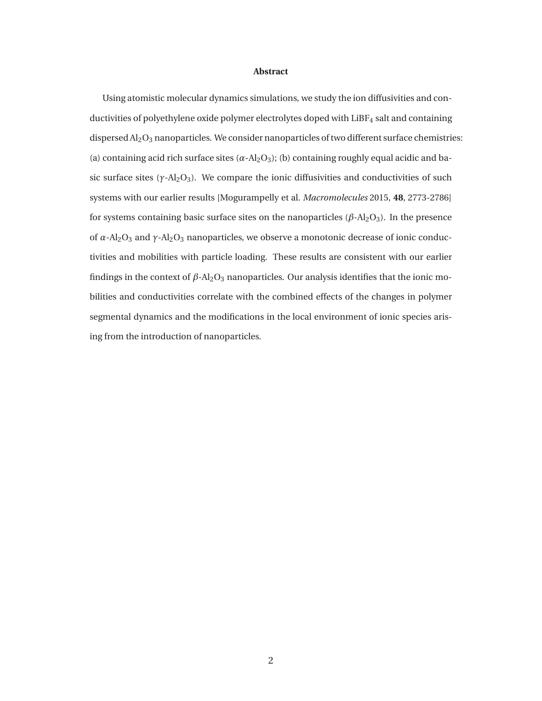#### **Abstract**

Using atomistic molecular dynamics simulations, we study the ion diffusivities and conductivities of polyethylene oxide polymer electrolytes doped with LiBF<sup>4</sup> salt and containing dispersed  $\text{Al}_2\text{O}_3$  nanoparticles. We consider nanoparticles of two different surface chemistries: (a) containing acid rich surface sites  $(\alpha - Al_2O_3)$ ; (b) containing roughly equal acidic and basic surface sites (*γ*-Al2O3). We compare the ionic diffusivities and conductivities of such systems with our earlier results [Mogurampelly et al. *Macromolecules* 2015, **48**, 2773-2786] for systems containing basic surface sites on the nanoparticles  $(\beta - Al_2O_3)$ . In the presence of *α*-Al<sub>2</sub>O<sub>3</sub> and *γ*-Al<sub>2</sub>O<sub>3</sub> nanoparticles, we observe a monotonic decrease of ionic conductivities and mobilities with particle loading. These results are consistent with our earlier findings in the context of  $β$ -Al<sub>2</sub>O<sub>3</sub> nanoparticles. Our analysis identifies that the ionic mobilities and conductivities correlate with the combined effects of the changes in polymer segmental dynamics and the modifications in the local environment of ionic species arising from the introduction of nanoparticles.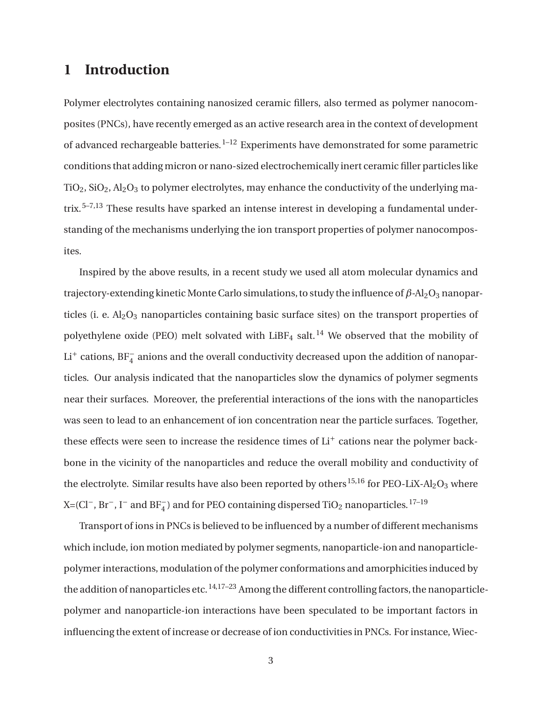# **1 Introduction**

Polymer electrolytes containing nanosized ceramic fillers, also termed as polymer nanocomposites (PNCs), have recently emerged as an active research area in the context of development of advanced rechargeable batteries. $1-12$  Experiments have demonstrated for some parametric conditions that adding micron or nano-sized electrochemically inert ceramic filler particles like  $TiO<sub>2</sub>$ ,  $SiO<sub>2</sub>$ ,  $Al<sub>2</sub>O<sub>3</sub>$  to polymer electrolytes, may enhance the conductivity of the underlying matrix.<sup>5-7,13</sup> These results have sparked an intense interest in developing a fundamental understanding of the mechanisms underlying the ion transport properties of polymer nanocomposites.

Inspired by the above results, in a recent study we used all atom molecular dynamics and trajectory-extending kinetic Monte Carlo simulations, to study the influence of β-Al<sub>2</sub>O<sub>3</sub> nanoparticles (i. e.  $Al_2O_3$  nanoparticles containing basic surface sites) on the transport properties of polyethylene oxide (PEO) melt solvated with  $LiBF_4$  salt.<sup>14</sup> We observed that the mobility of  $\mathrm{Li}^+$  cations,  $\mathrm{BF}_4^-$  anions and the overall conductivity decreased upon the addition of nanoparticles. Our analysis indicated that the nanoparticles slow the dynamics of polymer segments near their surfaces. Moreover, the preferential interactions of the ions with the nanoparticles was seen to lead to an enhancement of ion concentration near the particle surfaces. Together, these effects were seen to increase the residence times of  $Li<sup>+</sup>$  cations near the polymer backbone in the vicinity of the nanoparticles and reduce the overall mobility and conductivity of the electrolyte. Similar results have also been reported by others<sup>15,16</sup> for PEO-LiX-Al<sub>2</sub>O<sub>3</sub> where X=(Cl<sup>−</sup>, Br<sup>−</sup>, I<sup>−</sup> and BF<sub>4</sub>) and for PEO containing dispersed TiO<sub>2</sub> nanoparticles.<sup>17–19</sup>

Transport of ions in PNCs is believed to be influenced by a number of different mechanisms which include, ion motion mediated by polymer segments, nanoparticle-ion and nanoparticlepolymer interactions, modulation of the polymer conformations and amorphicities induced by the addition of nanoparticles etc.  $14,17-23$  Among the different controlling factors, the nanoparticlepolymer and nanoparticle-ion interactions have been speculated to be important factors in influencing the extent of increase or decrease of ion conductivities in PNCs. For instance, Wiec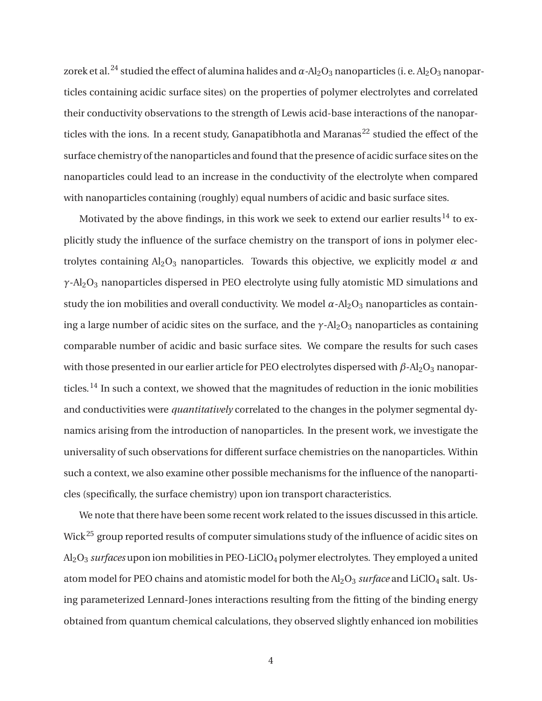zorek et al.<sup>24</sup> studied the effect of alumina halides and  $\alpha$ -Al<sub>2</sub>O<sub>3</sub> nanoparticles (i. e. Al<sub>2</sub>O<sub>3</sub> nanoparticles containing acidic surface sites) on the properties of polymer electrolytes and correlated their conductivity observations to the strength of Lewis acid-base interactions of the nanoparticles with the ions. In a recent study, Ganapatibhotla and Maranas<sup>22</sup> studied the effect of the surface chemistry of the nanoparticles and found that the presence of acidic surface sites on the nanoparticles could lead to an increase in the conductivity of the electrolyte when compared with nanoparticles containing (roughly) equal numbers of acidic and basic surface sites.

Motivated by the above findings, in this work we seek to extend our earlier results<sup>14</sup> to explicitly study the influence of the surface chemistry on the transport of ions in polymer electrolytes containing  $Al_2O_3$  nanoparticles. Towards this objective, we explicitly model  $\alpha$  and *γ*-Al2O<sup>3</sup> nanoparticles dispersed in PEO electrolyte using fully atomistic MD simulations and study the ion mobilities and overall conductivity. We model  $\alpha$ -Al<sub>2</sub>O<sub>3</sub> nanoparticles as containing a large number of acidic sites on the surface, and the  $\gamma$ -Al<sub>2</sub>O<sub>3</sub> nanoparticles as containing comparable number of acidic and basic surface sites. We compare the results for such cases with those presented in our earlier article for PEO electrolytes dispersed with *β*-Al<sub>2</sub>O<sub>3</sub> nanoparticles.<sup>14</sup> In such a context, we showed that the magnitudes of reduction in the ionic mobilities and conductivities were *quantitatively* correlated to the changes in the polymer segmental dynamics arising from the introduction of nanoparticles. In the present work, we investigate the universality of such observations for different surface chemistries on the nanoparticles. Within such a context, we also examine other possible mechanisms for the influence of the nanoparticles (specifically, the surface chemistry) upon ion transport characteristics.

We note that there have been some recent work related to the issues discussed in this article. Wick<sup>25</sup> group reported results of computer simulations study of the influence of acidic sites on Al2O<sup>3</sup> *surfaces* upon ion mobilities in PEO-LiClO<sup>4</sup> polymer electrolytes. They employed a united atom model for PEO chains and atomistic model for both the Al<sub>2</sub>O<sub>3</sub> *surface* and LiClO<sub>4</sub> salt. Using parameterized Lennard-Jones interactions resulting from the fitting of the binding energy obtained from quantum chemical calculations, they observed slightly enhanced ion mobilities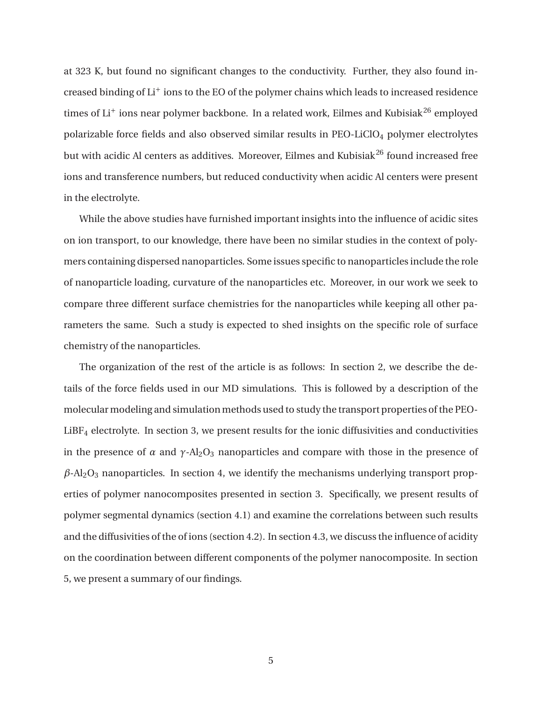at 323 K, but found no significant changes to the conductivity. Further, they also found increased binding of Li<sup>+</sup> ions to the EO of the polymer chains which leads to increased residence times of  $Li<sup>+</sup>$  ions near polymer backbone. In a related work, Eilmes and Kubisiak<sup>26</sup> employed polarizable force fields and also observed similar results in  $PEO-LiClO<sub>4</sub>$  polymer electrolytes but with acidic Al centers as additives. Moreover, Eilmes and Kubisiak<sup>26</sup> found increased free ions and transference numbers, but reduced conductivity when acidic Al centers were present in the electrolyte.

While the above studies have furnished important insights into the influence of acidic sites on ion transport, to our knowledge, there have been no similar studies in the context of polymers containing dispersed nanoparticles. Some issues specific to nanoparticles include the role of nanoparticle loading, curvature of the nanoparticles etc. Moreover, in our work we seek to compare three different surface chemistries for the nanoparticles while keeping all other parameters the same. Such a study is expected to shed insights on the specific role of surface chemistry of the nanoparticles.

The organization of the rest of the article is as follows: In section 2, we describe the details of the force fields used in our MD simulations. This is followed by a description of the molecular modeling and simulation methods used to study the transport properties of the PEO-LiBF<sup>4</sup> electrolyte. In section 3, we present results for the ionic diffusivities and conductivities in the presence of  $\alpha$  and  $\gamma$ -Al<sub>2</sub>O<sub>3</sub> nanoparticles and compare with those in the presence of  $\beta$ -Al<sub>2</sub>O<sub>3</sub> nanoparticles. In section 4, we identify the mechanisms underlying transport properties of polymer nanocomposites presented in section 3. Specifically, we present results of polymer segmental dynamics (section 4.1) and examine the correlations between such results and the diffusivities of the of ions (section 4.2). In section 4.3, we discuss the influence of acidity on the coordination between different components of the polymer nanocomposite. In section 5, we present a summary of our findings.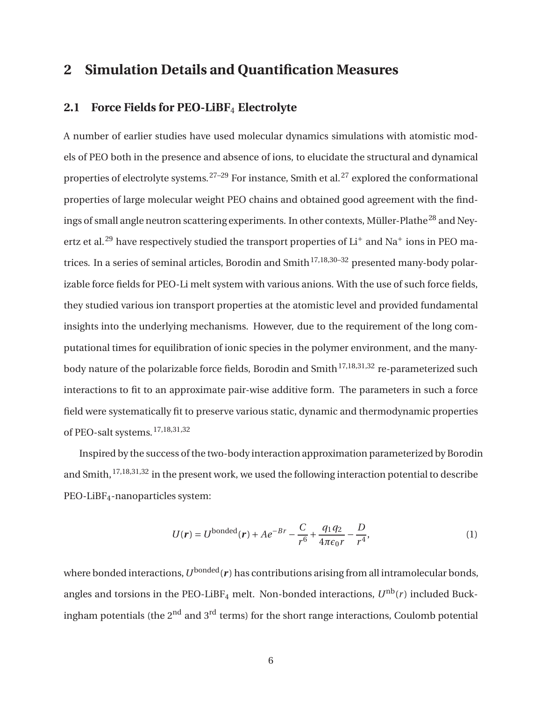# **2 Simulation Details and Quantification Measures**

## **2.1 Force Fields for PEO-LiBF**<sup>4</sup> **Electrolyte**

A number of earlier studies have used molecular dynamics simulations with atomistic models of PEO both in the presence and absence of ions, to elucidate the structural and dynamical properties of electrolyte systems.<sup>27-29</sup> For instance, Smith et al.<sup>27</sup> explored the conformational properties of large molecular weight PEO chains and obtained good agreement with the findings of small angle neutron scattering experiments. In other contexts, Müller-Plathe<sup>28</sup> and Neyertz et al.<sup>29</sup> have respectively studied the transport properties of  $Li^+$  and Na<sup>+</sup> ions in PEO matrices. In a series of seminal articles, Borodin and Smith<sup>17,18,30–32</sup> presented many-body polarizable force fields for PEO-Li melt system with various anions. With the use of such force fields, they studied various ion transport properties at the atomistic level and provided fundamental insights into the underlying mechanisms. However, due to the requirement of the long computational times for equilibration of ionic species in the polymer environment, and the manybody nature of the polarizable force fields, Borodin and Smith  $^{17,18,31,32}$  re-parameterized such interactions to fit to an approximate pair-wise additive form. The parameters in such a force field were systematically fit to preserve various static, dynamic and thermodynamic properties of PEO-salt systems.17,18,31,32

Inspired by the success of the two-body interaction approximation parameterized by Borodin and Smith, <sup>17,18,31,32</sup> in the present work, we used the following interaction potential to describe PEO-LiBF4-nanoparticles system:

$$
U(r) = U^{\text{bonded}}(r) + Ae^{-Br} - \frac{C}{r^6} + \frac{q_1 q_2}{4\pi\epsilon_0 r} - \frac{D}{r^4},\tag{1}
$$

where bonded interactions,  $U^{\text{bonded}}(r)$  has contributions arising from all intramolecular bonds, angles and torsions in the PEO-LiBF<sub>4</sub> melt. Non-bonded interactions,  $U^{\text{nb}}(r)$  included Buckingham potentials (the  $2<sup>nd</sup>$  and  $3<sup>rd</sup>$  terms) for the short range interactions, Coulomb potential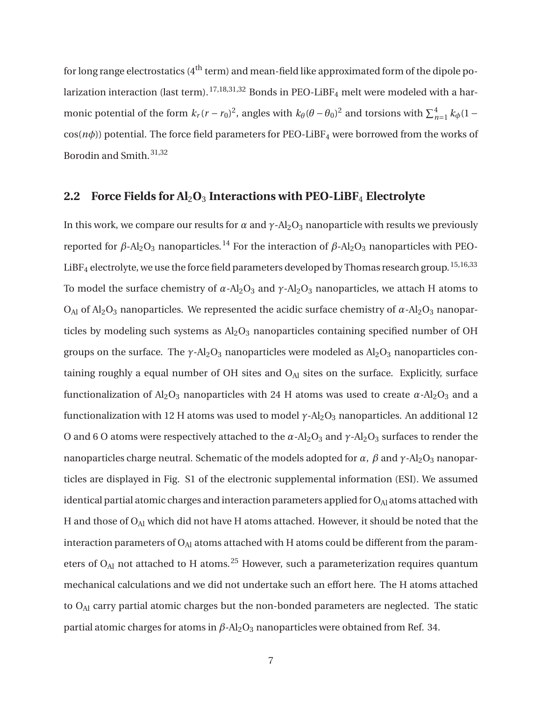for long range electrostatics  $(4^{th}$  term) and mean-field like approximated form of the dipole polarization interaction (last term).<sup>17,18,31,32</sup> Bonds in PEO-LiBF<sub>4</sub> melt were modeled with a harmonic potential of the form  $k_r(r - r_0)^2$ , angles with  $k_\theta(\theta - \theta_0)^2$  and torsions with  $\sum_{n=1}^4 k_\phi(1$  $cos(n\phi)$ ) potential. The force field parameters for PEO-LiBF<sub>4</sub> were borrowed from the works of Borodin and Smith.<sup>31,32</sup>

# **2.2 Force Fields for Al**2**O**<sup>3</sup> **Interactions with PEO-LiBF**<sup>4</sup> **Electrolyte**

In this work, we compare our results for  $\alpha$  and  $\gamma$ -Al<sub>2</sub>O<sub>3</sub> nanoparticle with results we previously reported for  $β$ -Al<sub>2</sub>O<sub>3</sub> nanoparticles.<sup>14</sup> For the interaction of  $β$ -Al<sub>2</sub>O<sub>3</sub> nanoparticles with PEO-LiBF<sub>4</sub> electrolyte, we use the force field parameters developed by Thomas research group.<sup>15,16,33</sup> To model the surface chemistry of  $\alpha$ -Al<sub>2</sub>O<sub>3</sub> and  $\gamma$ -Al<sub>2</sub>O<sub>3</sub> nanoparticles, we attach H atoms to O<sub>Al</sub> of Al<sub>2</sub>O<sub>3</sub> nanoparticles. We represented the acidic surface chemistry of *α*-Al<sub>2</sub>O<sub>3</sub> nanoparticles by modeling such systems as  $Al_2O_3$  nanoparticles containing specified number of OH groups on the surface. The  $\gamma$ -Al<sub>2</sub>O<sub>3</sub> nanoparticles were modeled as Al<sub>2</sub>O<sub>3</sub> nanoparticles containing roughly a equal number of OH sites and  $O_{Al}$  sites on the surface. Explicitly, surface functionalization of  $Al_2O_3$  nanoparticles with 24 H atoms was used to create  $\alpha$ - $Al_2O_3$  and a functionalization with 12 H atoms was used to model  $\gamma$ -Al<sub>2</sub>O<sub>3</sub> nanoparticles. An additional 12 O and 6 O atoms were respectively attached to the *α*-Al<sub>2</sub>O<sub>3</sub> and *γ*-Al<sub>2</sub>O<sub>3</sub> surfaces to render the nanoparticles charge neutral. Schematic of the models adopted for  $\alpha$ ,  $\beta$  and  $\gamma$ -Al<sub>2</sub>O<sub>3</sub> nanoparticles are displayed in Fig. S1 of the electronic supplemental information (ESI). We assumed identical partial atomic charges and interaction parameters applied for  $O_{Al}$  atoms attached with H and those of  $O_{Al}$  which did not have H atoms attached. However, it should be noted that the interaction parameters of  $O_{Al}$  atoms attached with H atoms could be different from the parameters of  $O_{Al}$  not attached to H atoms.<sup>25</sup> However, such a parameterization requires quantum mechanical calculations and we did not undertake such an effort here. The H atoms attached to O<sub>Al</sub> carry partial atomic charges but the non-bonded parameters are neglected. The static partial atomic charges for atoms in  $\beta$ -Al<sub>2</sub>O<sub>3</sub> nanoparticles were obtained from Ref. 34.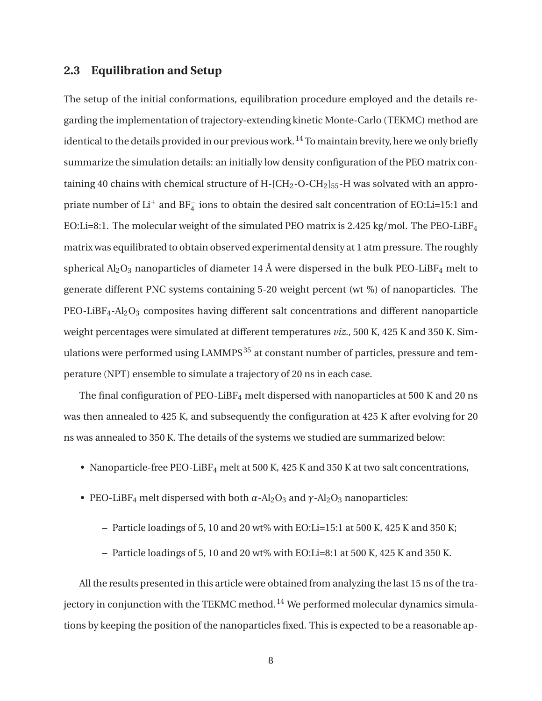## **2.3 Equilibration and Setup**

The setup of the initial conformations, equilibration procedure employed and the details regarding the implementation of trajectory-extending kinetic Monte-Carlo (TEKMC) method are identical to the details provided in our previous work.<sup>14</sup> To maintain brevity, here we only briefly summarize the simulation details: an initially low density configuration of the PEO matrix containing 40 chains with chemical structure of  $H$ -[CH<sub>2</sub>-O-CH<sub>2</sub>]<sub>55</sub>-H was solvated with an appropriate number of  $\rm Li^+$  and  $\rm BF_4^-$  ions to obtain the desired salt concentration of EO:Li=15:1 and EO:Li=8:1. The molecular weight of the simulated PEO matrix is 2.425 kg/mol. The PEO-LiBF<sub>4</sub> matrix was equilibrated to obtain observed experimental density at 1 atm pressure. The roughly spherical  $Al_2O_3$  nanoparticles of diameter 14 Å were dispersed in the bulk PEO-LiBF<sub>4</sub> melt to generate different PNC systems containing 5-20 weight percent (wt %) of nanoparticles. The PEO-LiBF<sub>4</sub>-Al<sub>2</sub>O<sub>3</sub> composites having different salt concentrations and different nanoparticle weight percentages were simulated at different temperatures *viz.,* 500 K, 425 K and 350 K. Simulations were performed using  $LAMMPS^{35}$  at constant number of particles, pressure and temperature (NPT) ensemble to simulate a trajectory of 20 ns in each case.

The final configuration of PEO-LiBF<sub>4</sub> melt dispersed with nanoparticles at 500 K and 20 ns was then annealed to 425 K, and subsequently the configuration at 425 K after evolving for 20 ns was annealed to 350 K. The details of the systems we studied are summarized below:

- Nanoparticle-free PEO-LiBF<sub>4</sub> melt at 500 K, 425 K and 350 K at two salt concentrations,
- PEO-LiBF<sub>4</sub> melt dispersed with both  $\alpha$ -Al<sub>2</sub>O<sub>3</sub> and  $\gamma$ -Al<sub>2</sub>O<sub>3</sub> nanoparticles:
	- **–** Particle loadings of 5, 10 and 20 wt% with EO:Li=15:1 at 500 K, 425 K and 350 K;
	- **–** Particle loadings of 5, 10 and 20 wt% with EO:Li=8:1 at 500 K, 425 K and 350 K.

All the results presented in this article were obtained from analyzing the last 15 ns of the trajectory in conjunction with the TEKMC method.<sup>14</sup> We performed molecular dynamics simulations by keeping the position of the nanoparticles fixed. This is expected to be a reasonable ap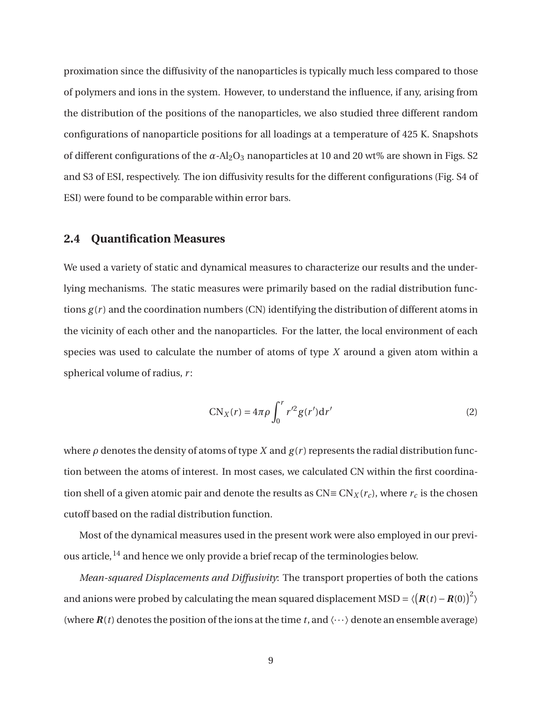proximation since the diffusivity of the nanoparticles is typically much less compared to those of polymers and ions in the system. However, to understand the influence, if any, arising from the distribution of the positions of the nanoparticles, we also studied three different random configurations of nanoparticle positions for all loadings at a temperature of 425 K. Snapshots of different configurations of the  $\alpha$ -Al<sub>2</sub>O<sub>3</sub> nanoparticles at 10 and 20 wt% are shown in Figs. S2 and S3 of ESI, respectively. The ion diffusivity results for the different configurations (Fig. S4 of ESI) were found to be comparable within error bars.

## **2.4 Quantification Measures**

We used a variety of static and dynamical measures to characterize our results and the underlying mechanisms. The static measures were primarily based on the radial distribution functions *g* (*r* ) and the coordination numbers (CN) identifying the distribution of different atoms in the vicinity of each other and the nanoparticles. For the latter, the local environment of each species was used to calculate the number of atoms of type *X* around a given atom within a spherical volume of radius, *r*:

$$
CN_X(r) = 4\pi\rho \int_0^r r'^2 g(r') dr'
$$
 (2)

where  $\rho$  denotes the density of atoms of type *X* and  $g(r)$  represents the radial distribution function between the atoms of interest. In most cases, we calculated CN within the first coordination shell of a given atomic pair and denote the results as  $CN \equiv CN_X(r_c)$ , where  $r_c$  is the chosen cutoff based on the radial distribution function.

Most of the dynamical measures used in the present work were also employed in our previous article,<sup>14</sup> and hence we only provide a brief recap of the terminologies below.

*Mean-squared Displacements and Diffusivity*: The transport properties of both the cations and anions were probed by calculating the mean squared displacement MSD =  $\langle \bm(R(t)-\bm R(0) \bm)^2 \rangle$ (where  $R(t)$  denotes the position of the ions at the time  $t$ , and  $\langle \cdots \rangle$  denote an ensemble average)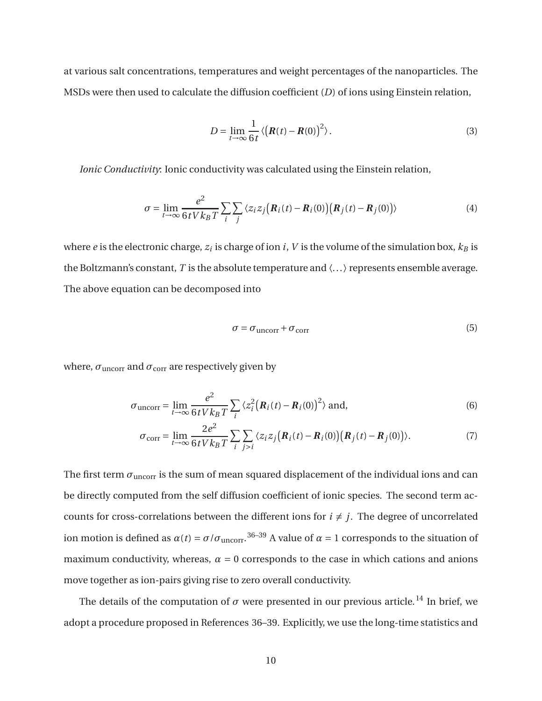at various salt concentrations, temperatures and weight percentages of the nanoparticles. The MSDs were then used to calculate the diffusion coefficient (*D*) of ions using Einstein relation,

$$
D = \lim_{t \to \infty} \frac{1}{6t} \langle \left( \boldsymbol{R}(t) - \boldsymbol{R}(0) \right)^2 \rangle.
$$
 (3)

*Ionic Conductivity*: Ionic conductivity was calculated using the Einstein relation,

$$
\sigma = \lim_{t \to \infty} \frac{e^2}{6t V k_B T} \sum_i \sum_j \langle z_i z_j \big( \mathbf{R}_i(t) - \mathbf{R}_i(0) \big) \big( \mathbf{R}_j(t) - \mathbf{R}_j(0) \big) \rangle \tag{4}
$$

where  $e$  is the electronic charge,  $z_i$  is charge of ion  $i$ ,  $V$  is the volume of the simulation box,  $k_B$  is the Boltzmann's constant,  $T$  is the absolute temperature and  $\langle \ldots \rangle$  represents ensemble average. The above equation can be decomposed into

$$
\sigma = \sigma_{\text{uncorr}} + \sigma_{\text{corr}} \tag{5}
$$

where,  $\sigma_{\text{uncorr}}$  and  $\sigma_{\text{corr}}$  are respectively given by

$$
\sigma_{\text{uncorr}} = \lim_{t \to \infty} \frac{e^2}{6t V k_B T} \sum_{i} \langle z_i^2 (\mathbf{R}_i(t) - \mathbf{R}_i(0)) \rangle^2 \rangle \text{ and,}
$$
 (6)

$$
\sigma_{\text{corr}} = \lim_{t \to \infty} \frac{2e^2}{6t V k_B T} \sum_{i} \sum_{j > i} \langle z_i z_j \big( \mathbf{R}_i(t) - \mathbf{R}_i(0) \big) \big( \mathbf{R}_j(t) - \mathbf{R}_j(0) \big) \rangle. \tag{7}
$$

The first term  $\sigma_{\text{uncorr}}$  is the sum of mean squared displacement of the individual ions and can be directly computed from the self diffusion coefficient of ionic species. The second term accounts for cross-correlations between the different ions for  $i \neq j$ . The degree of uncorrelated ion motion is defined as  $\alpha(t) = \sigma/\sigma_{\rm uncorr}$ .<sup>36–39</sup> A value of  $\alpha = 1$  corresponds to the situation of maximum conductivity, whereas,  $\alpha = 0$  corresponds to the case in which cations and anions move together as ion-pairs giving rise to zero overall conductivity.

The details of the computation of  $\sigma$  were presented in our previous article.<sup>14</sup> In brief, we adopt a procedure proposed in References 36–39. Explicitly, we use the long-time statistics and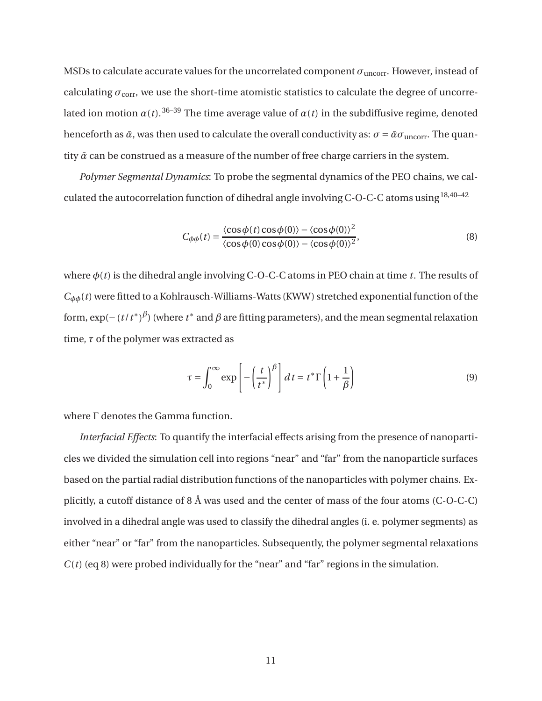MSDs to calculate accurate values for the uncorrelated component  $\sigma_{\text{uncorr}}$ . However, instead of calculating  $\sigma_{\text{corr}}$ , we use the short-time atomistic statistics to calculate the degree of uncorrelated ion motion  $\alpha(t)$ .<sup>36–39</sup> The time average value of  $\alpha(t)$  in the subdiffusive regime, denoted henceforth as  $\bar{\alpha}$ , was then used to calculate the overall conductivity as:  $\sigma = \bar{\alpha} \sigma_{\text{uncorr}}$ . The quantity  $\bar{\alpha}$  can be construed as a measure of the number of free charge carriers in the system.

*Polymer Segmental Dynamics*: To probe the segmental dynamics of the PEO chains, we calculated the autocorrelation function of dihedral angle involving C-O-C-C atoms using18,40–42

$$
C_{\phi\phi}(t) = \frac{\langle \cos\phi(t)\cos\phi(0)\rangle - \langle \cos\phi(0)\rangle^2}{\langle \cos\phi(0)\cos\phi(0)\rangle - \langle \cos\phi(0)\rangle^2},\tag{8}
$$

where  $\phi(t)$  is the dihedral angle involving C-O-C-C atoms in PEO chain at time *t*. The results of  $C_{\phi\phi}(t)$  were fitted to a Kohlrausch-Williams-Watts (KWW) stretched exponential function of the form, exp(−(*t*/*t* ∗ ) *β* ) (where *t* ∗ and *β* are fitting parameters), and the mean segmental relaxation time, *τ* of the polymer was extracted as

$$
\tau = \int_0^\infty \exp\left[-\left(\frac{t}{t^*}\right)^\beta\right] dt = t^* \Gamma\left(1 + \frac{1}{\beta}\right) \tag{9}
$$

where Γ denotes the Gamma function.

*Interfacial Effects*: To quantify the interfacial effects arising from the presence of nanoparticles we divided the simulation cell into regions "near" and "far" from the nanoparticle surfaces based on the partial radial distribution functions of the nanoparticles with polymer chains. Explicitly, a cutoff distance of 8 Å was used and the center of mass of the four atoms (C-O-C-C) involved in a dihedral angle was used to classify the dihedral angles (i. e. polymer segments) as either "near" or "far" from the nanoparticles. Subsequently, the polymer segmental relaxations *C*(*t*) (eq 8) were probed individually for the "near" and "far" regions in the simulation.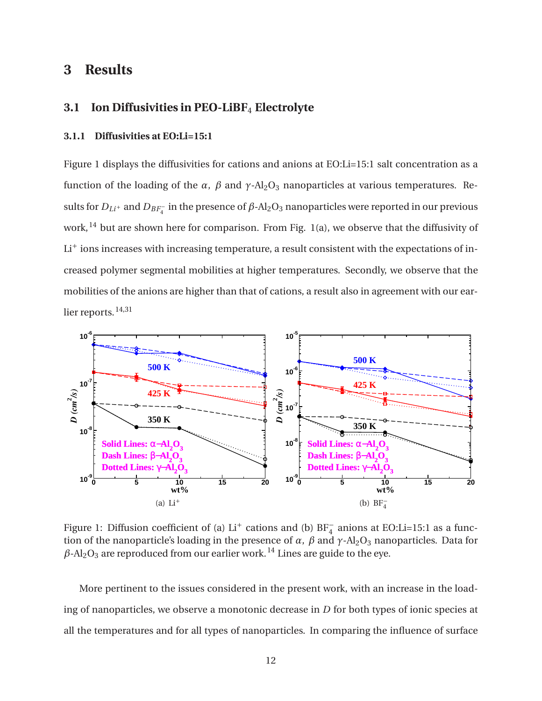# **3 Results**

## **3.1 Ion Diffusivities in PEO-LiBF**<sup>4</sup> **Electrolyte**

#### **3.1.1 Diffusivities at EO:Li=15:1**

Figure 1 displays the diffusivities for cations and anions at EO:Li=15:1 salt concentration as a function of the loading of the *α*,  $β$  and  $γ$ -Al<sub>2</sub>O<sub>3</sub> nanoparticles at various temperatures. Results for  $D_{Li^+}$  and  $D_{BF_4^-}$  in the presence of  $\beta$ -Al $_2$ O $_3$  nanoparticles were reported in our previous work,<sup>14</sup> but are shown here for comparison. From Fig. 1(a), we observe that the diffusivity of Li<sup>+</sup> ions increases with increasing temperature, a result consistent with the expectations of increased polymer segmental mobilities at higher temperatures. Secondly, we observe that the mobilities of the anions are higher than that of cations, a result also in agreement with our earlier reports.<sup>14,31</sup>



Figure 1: Diffusion coefficient of (a) Li<sup>+</sup> cations and (b)  $BF_4^-$  anions at EO:Li=15:1 as a function of the nanoparticle's loading in the presence of  $\alpha$ ,  $\beta$  and  $\gamma$ -Al<sub>2</sub>O<sub>3</sub> nanoparticles. Data for  $\beta$ -Al<sub>2</sub>O<sub>3</sub> are reproduced from our earlier work.<sup>14</sup> Lines are guide to the eye.

More pertinent to the issues considered in the present work, with an increase in the loading of nanoparticles, we observe a monotonic decrease in *D* for both types of ionic species at all the temperatures and for all types of nanoparticles. In comparing the influence of surface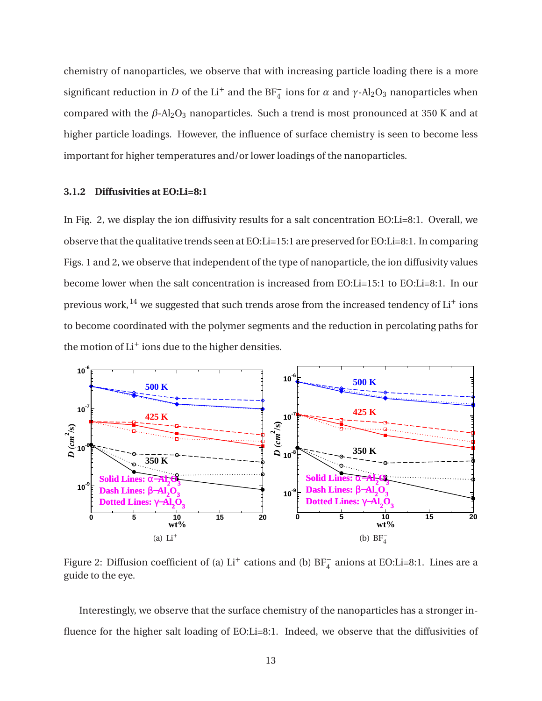chemistry of nanoparticles, we observe that with increasing particle loading there is a more significant reduction in *D* of the Li<sup>+</sup> and the BF<sub>4</sub> ions for *α* and *γ*-Al<sub>2</sub>O<sub>3</sub> nanoparticles when compared with the  $β$ -Al<sub>2</sub>O<sub>3</sub> nanoparticles. Such a trend is most pronounced at 350 K and at higher particle loadings. However, the influence of surface chemistry is seen to become less important for higher temperatures and/or lower loadings of the nanoparticles.

#### **3.1.2 Diffusivities at EO:Li=8:1**

In Fig. 2, we display the ion diffusivity results for a salt concentration EO:Li=8:1. Overall, we observe that the qualitative trends seen at EO:Li=15:1 are preserved for EO:Li=8:1. In comparing Figs. 1 and 2, we observe that independent of the type of nanoparticle, the ion diffusivity values become lower when the salt concentration is increased from EO:Li=15:1 to EO:Li=8:1. In our previous work,  $^{14}$  we suggested that such trends arose from the increased tendency of  $\rm Li^+$  ions to become coordinated with the polymer segments and the reduction in percolating paths for the motion of Li<sup>+</sup> ions due to the higher densities.



Figure 2: Diffusion coefficient of (a)  $Li^+$  cations and (b)  $BF_4^-$  anions at EO:Li=8:1. Lines are a guide to the eye.

Interestingly, we observe that the surface chemistry of the nanoparticles has a stronger influence for the higher salt loading of EO:Li=8:1. Indeed, we observe that the diffusivities of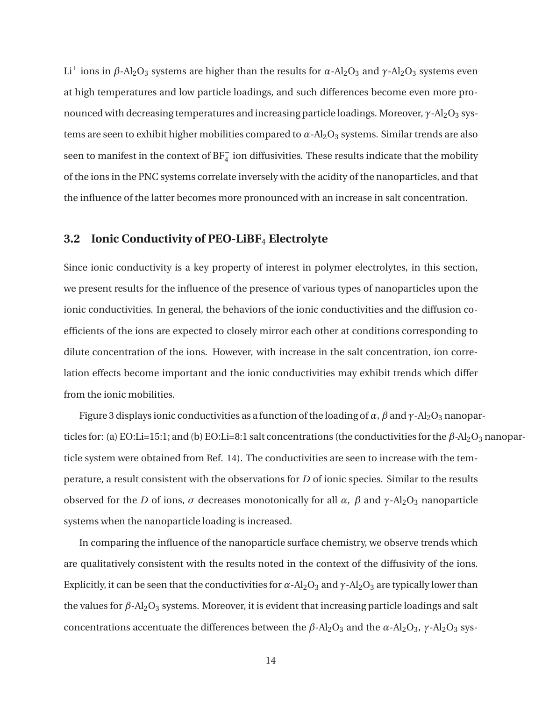Li<sup>+</sup> ions in  $\beta$ -Al<sub>2</sub>O<sub>3</sub> systems are higher than the results for  $\alpha$ -Al<sub>2</sub>O<sub>3</sub> and  $\gamma$ -Al<sub>2</sub>O<sub>3</sub> systems even at high temperatures and low particle loadings, and such differences become even more pronounced with decreasing temperatures and increasing particle loadings. Moreover, *γ*-Al<sub>2</sub>O<sub>3</sub> systems are seen to exhibit higher mobilities compared to  $\alpha$ -Al<sub>2</sub>O<sub>3</sub> systems. Similar trends are also seen to manifest in the context of  $\mathrm{BF}_{4}^{-}$  ion diffusivities. These results indicate that the mobility of the ions in the PNC systems correlate inversely with the acidity of the nanoparticles, and that the influence of the latter becomes more pronounced with an increase in salt concentration.

## **3.2 Ionic Conductivity of PEO-LiBF**<sup>4</sup> **Electrolyte**

Since ionic conductivity is a key property of interest in polymer electrolytes, in this section, we present results for the influence of the presence of various types of nanoparticles upon the ionic conductivities. In general, the behaviors of the ionic conductivities and the diffusion coefficients of the ions are expected to closely mirror each other at conditions corresponding to dilute concentration of the ions. However, with increase in the salt concentration, ion correlation effects become important and the ionic conductivities may exhibit trends which differ from the ionic mobilities.

Figure 3 displays ionic conductivities as a function of the loading of  $\alpha$ ,  $\beta$  and  $\gamma$ -Al<sub>2</sub>O<sub>3</sub> nanoparticles for: (a) EO:Li=15:1; and (b) EO:Li=8:1 salt concentrations (the conductivities for the *β*-Al<sub>2</sub>O<sub>3</sub> nanoparticle system were obtained from Ref. 14). The conductivities are seen to increase with the temperature, a result consistent with the observations for *D* of ionic species. Similar to the results observed for the *D* of ions, *σ* decreases monotonically for all *α*, *β* and  $\gamma$ -Al<sub>2</sub>O<sub>3</sub> nanoparticle systems when the nanoparticle loading is increased.

In comparing the influence of the nanoparticle surface chemistry, we observe trends which are qualitatively consistent with the results noted in the context of the diffusivity of the ions. Explicitly, it can be seen that the conductivities for  $\alpha$ -Al<sub>2</sub>O<sub>3</sub> and  $\gamma$ -Al<sub>2</sub>O<sub>3</sub> are typically lower than the values for  $\beta$ -Al<sub>2</sub>O<sub>3</sub> systems. Moreover, it is evident that increasing particle loadings and salt concentrations accentuate the differences between the  $β$ -Al<sub>2</sub>O<sub>3</sub> and the *α*-Al<sub>2</sub>O<sub>3</sub>, *γ*-Al<sub>2</sub>O<sub>3</sub> sys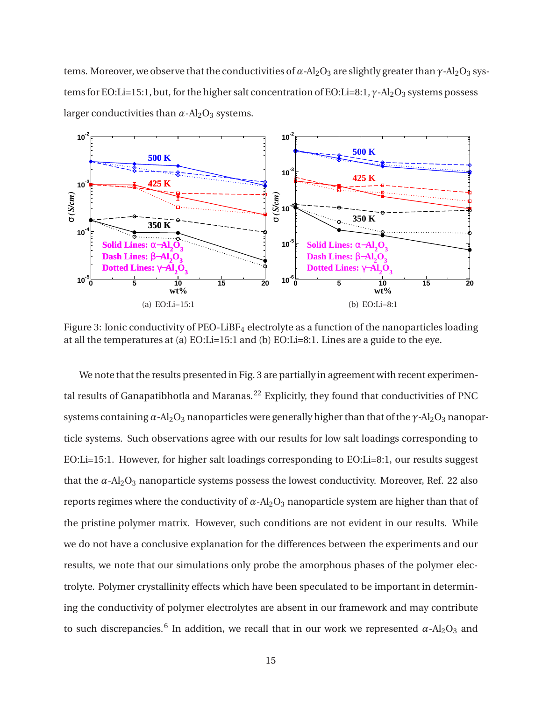tems. Moreover, we observe that the conductivities of  $\alpha$ -Al<sub>2</sub>O<sub>3</sub> are slightly greater than  $\gamma$ -Al<sub>2</sub>O<sub>3</sub> systems for EO:Li=15:1, but, for the higher salt concentration of EO:Li=8:1, γ-Al<sub>2</sub>O<sub>3</sub> systems possess larger conductivities than  $\alpha$ -Al<sub>2</sub>O<sub>3</sub> systems.



Figure 3: Ionic conductivity of  $PEO-LiBF<sub>4</sub>$  electrolyte as a function of the nanoparticles loading at all the temperatures at (a) EO:Li=15:1 and (b) EO:Li=8:1. Lines are a guide to the eye.

We note that the results presented in Fig. 3 are partially in agreement with recent experimental results of Ganapatibhotla and Maranas.<sup>22</sup> Explicitly, they found that conductivities of PNC systems containing  $\alpha$ -Al<sub>2</sub>O<sub>3</sub> nanoparticles were generally higher than that of the  $\gamma$ -Al<sub>2</sub>O<sub>3</sub> nanoparticle systems. Such observations agree with our results for low salt loadings corresponding to EO:Li=15:1. However, for higher salt loadings corresponding to EO:Li=8:1, our results suggest that the  $\alpha$ -Al<sub>2</sub>O<sub>3</sub> nanoparticle systems possess the lowest conductivity. Moreover, Ref. 22 also reports regimes where the conductivity of  $\alpha$ -Al<sub>2</sub>O<sub>3</sub> nanoparticle system are higher than that of the pristine polymer matrix. However, such conditions are not evident in our results. While we do not have a conclusive explanation for the differences between the experiments and our results, we note that our simulations only probe the amorphous phases of the polymer electrolyte. Polymer crystallinity effects which have been speculated to be important in determining the conductivity of polymer electrolytes are absent in our framework and may contribute to such discrepancies.<sup>6</sup> In addition, we recall that in our work we represented  $\alpha$ -Al<sub>2</sub>O<sub>3</sub> and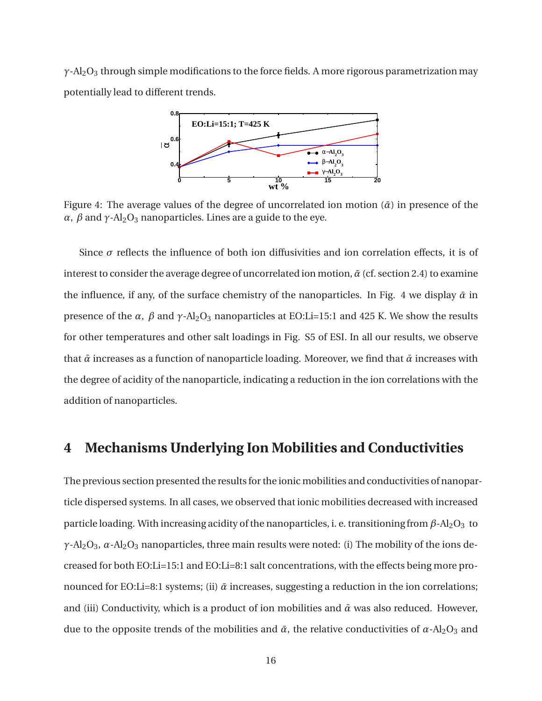$\gamma$ -Al<sub>2</sub>O<sub>3</sub> through simple modifications to the force fields. A more rigorous parametrization may potentially lead to different trends.



Figure 4: The average values of the degree of uncorrelated ion motion  $(\bar{\alpha})$  in presence of the *α*,  $β$  and  $γ$ -Al<sub>2</sub>O<sub>3</sub> nanoparticles. Lines are a guide to the eye.

Since  $\sigma$  reflects the influence of both ion diffusivities and ion correlation effects, it is of interest to consider the average degree of uncorrelated ion motion,  $\bar{\alpha}$  (cf. section 2.4) to examine the influence, if any, of the surface chemistry of the nanoparticles. In Fig. 4 we display  $\bar{\alpha}$  in presence of the *α*,  $β$  and  $γ$ -Al<sub>2</sub>O<sub>3</sub> nanoparticles at EO:Li=15:1 and 425 K. We show the results for other temperatures and other salt loadings in Fig. S5 of ESI. In all our results, we observe that *α*¯ increases as a function of nanoparticle loading. Moreover, we find that *α*¯ increases with the degree of acidity of the nanoparticle, indicating a reduction in the ion correlations with the addition of nanoparticles.

# **4 Mechanisms Underlying Ion Mobilities and Conductivities**

The previous section presented the results for the ionic mobilities and conductivities of nanoparticle dispersed systems. In all cases, we observed that ionic mobilities decreased with increased particle loading. With increasing acidity of the nanoparticles, i. e. transitioning from β-Al<sub>2</sub>O<sub>3</sub> to *γ*-Al2O3, *α*-Al2O<sup>3</sup> nanoparticles, three main results were noted: (i) The mobility of the ions decreased for both EO:Li=15:1 and EO:Li=8:1 salt concentrations, with the effects being more pronounced for EO:Li=8:1 systems; (ii)  $\bar{\alpha}$  increases, suggesting a reduction in the ion correlations; and (iii) Conductivity, which is a product of ion mobilities and  $\bar{\alpha}$  was also reduced. However, due to the opposite trends of the mobilities and  $\bar{\alpha}$ , the relative conductivities of  $\alpha$ -Al<sub>2</sub>O<sub>3</sub> and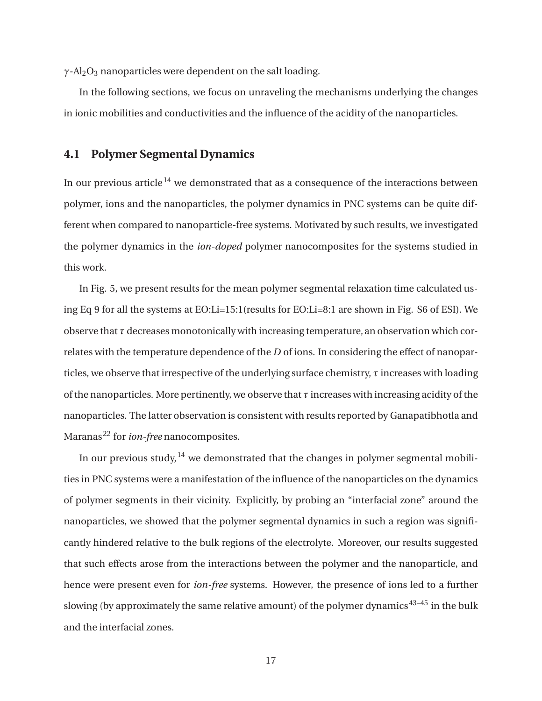*γ*-Al<sub>2</sub>O<sub>3</sub> nanoparticles were dependent on the salt loading.

In the following sections, we focus on unraveling the mechanisms underlying the changes in ionic mobilities and conductivities and the influence of the acidity of the nanoparticles.

## **4.1 Polymer Segmental Dynamics**

In our previous article<sup>14</sup> we demonstrated that as a consequence of the interactions between polymer, ions and the nanoparticles, the polymer dynamics in PNC systems can be quite different when compared to nanoparticle-free systems. Motivated by such results, we investigated the polymer dynamics in the *ion-doped* polymer nanocomposites for the systems studied in this work.

In Fig. 5, we present results for the mean polymer segmental relaxation time calculated using Eq 9 for all the systems at EO:Li=15:1(results for EO:Li=8:1 are shown in Fig. S6 of ESI). We observe that *τ* decreases monotonically with increasing temperature, an observation which correlates with the temperature dependence of the *D* of ions. In considering the effect of nanoparticles, we observe that irrespective of the underlying surface chemistry, *τ* increases with loading of the nanoparticles. More pertinently, we observe that *τ* increases with increasing acidity of the nanoparticles. The latter observation is consistent with results reported by Ganapatibhotla and Maranas<sup>22</sup> for *ion-free* nanocomposites.

In our previous study,  $14$  we demonstrated that the changes in polymer segmental mobilities in PNC systems were a manifestation of the influence of the nanoparticles on the dynamics of polymer segments in their vicinity. Explicitly, by probing an "interfacial zone" around the nanoparticles, we showed that the polymer segmental dynamics in such a region was significantly hindered relative to the bulk regions of the electrolyte. Moreover, our results suggested that such effects arose from the interactions between the polymer and the nanoparticle, and hence were present even for *ion-free* systems. However, the presence of ions led to a further slowing (by approximately the same relative amount) of the polymer dynamics $43-45$  in the bulk and the interfacial zones.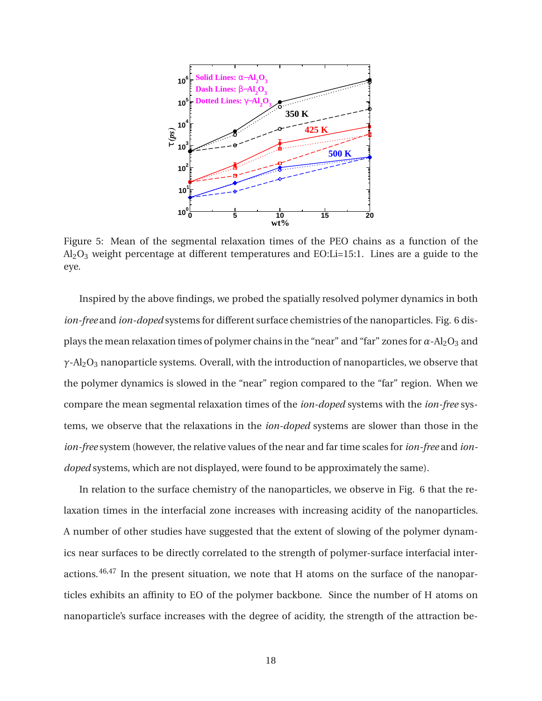

Figure 5: Mean of the segmental relaxation times of the PEO chains as a function of the  $Al_2O_3$  weight percentage at different temperatures and EO:Li=15:1. Lines are a guide to the eye.

Inspired by the above findings, we probed the spatially resolved polymer dynamics in both *ion-free* and *ion-doped* systems for different surface chemistries of the nanoparticles. Fig. 6 displays the mean relaxation times of polymer chains in the "near" and "far" zones for  $\alpha$ -Al<sub>2</sub>O<sub>3</sub> and *γ*-Al<sub>2</sub>O<sub>3</sub> nanoparticle systems. Overall, with the introduction of nanoparticles, we observe that the polymer dynamics is slowed in the "near" region compared to the "far" region. When we compare the mean segmental relaxation times of the *ion-doped* systems with the *ion-free* systems, we observe that the relaxations in the *ion-doped* systems are slower than those in the *ion-free* system (however, the relative values of the near and far time scales for *ion-free* and *iondoped* systems, which are not displayed, were found to be approximately the same).

In relation to the surface chemistry of the nanoparticles, we observe in Fig. 6 that the relaxation times in the interfacial zone increases with increasing acidity of the nanoparticles. A number of other studies have suggested that the extent of slowing of the polymer dynamics near surfaces to be directly correlated to the strength of polymer-surface interfacial interactions.  $46,47$  In the present situation, we note that H atoms on the surface of the nanoparticles exhibits an affinity to EO of the polymer backbone. Since the number of H atoms on nanoparticle's surface increases with the degree of acidity, the strength of the attraction be-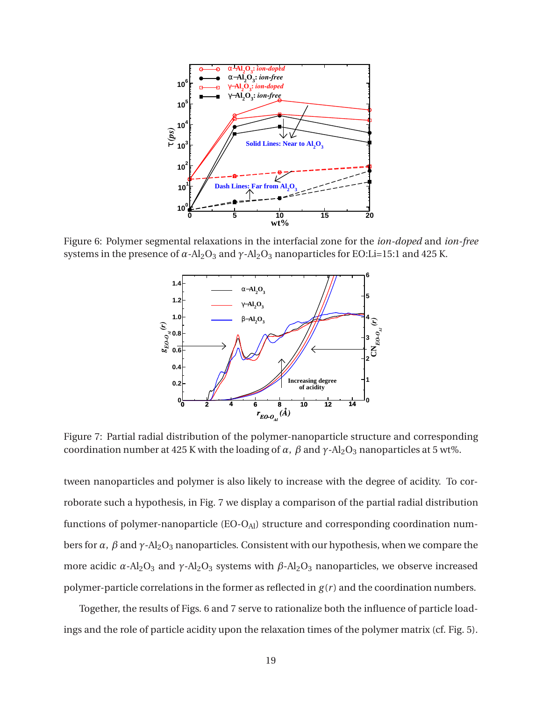

Figure 6: Polymer segmental relaxations in the interfacial zone for the *ion-doped* and *ion-free* systems in the presence of  $\alpha$ -Al<sub>2</sub>O<sub>3</sub> and  $\gamma$ -Al<sub>2</sub>O<sub>3</sub> nanoparticles for EO:Li=15:1 and 425 K.



Figure 7: Partial radial distribution of the polymer-nanoparticle structure and corresponding coordination number at 425 K with the loading of  $\alpha$ ,  $\beta$  and  $\gamma$ -Al<sub>2</sub>O<sub>3</sub> nanoparticles at 5 wt%.

tween nanoparticles and polymer is also likely to increase with the degree of acidity. To corroborate such a hypothesis, in Fig. 7 we display a comparison of the partial radial distribution functions of polymer-nanoparticle  $(EO-O<sub>Al</sub>)$  structure and corresponding coordination numbers for  $\alpha$ ,  $\beta$  and  $\gamma$ -Al<sub>2</sub>O<sub>3</sub> nanoparticles. Consistent with our hypothesis, when we compare the more acidic  $α$ -Al<sub>2</sub>O<sub>3</sub> and  $γ$ -Al<sub>2</sub>O<sub>3</sub> systems with  $β$ -Al<sub>2</sub>O<sub>3</sub> nanoparticles, we observe increased polymer-particle correlations in the former as reflected in  $g(r)$  and the coordination numbers.

Together, the results of Figs. 6 and 7 serve to rationalize both the influence of particle loadings and the role of particle acidity upon the relaxation times of the polymer matrix (cf. Fig. 5).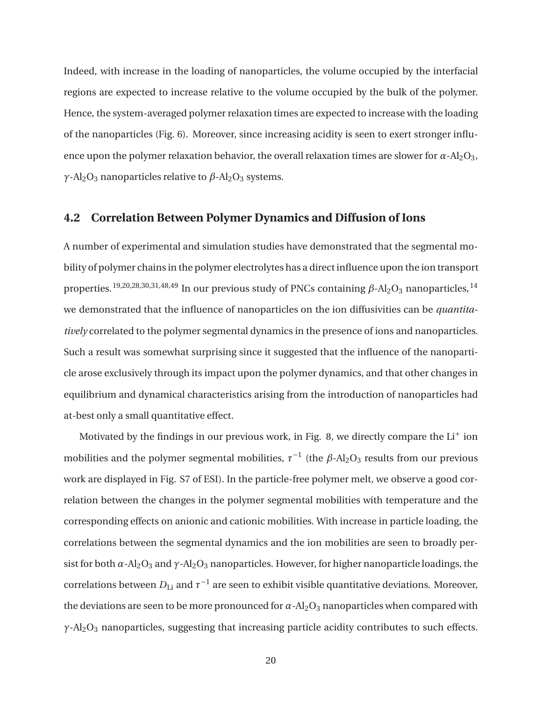Indeed, with increase in the loading of nanoparticles, the volume occupied by the interfacial regions are expected to increase relative to the volume occupied by the bulk of the polymer. Hence, the system-averaged polymer relaxation times are expected to increase with the loading of the nanoparticles (Fig. 6). Moreover, since increasing acidity is seen to exert stronger influence upon the polymer relaxation behavior, the overall relaxation times are slower for  $\alpha$ -Al<sub>2</sub>O<sub>3</sub>, *γ*-Al<sub>2</sub>O<sub>3</sub> nanoparticles relative to  $β$ -Al<sub>2</sub>O<sub>3</sub> systems.

## **4.2 Correlation Between Polymer Dynamics and Diffusion of Ions**

A number of experimental and simulation studies have demonstrated that the segmental mobility of polymer chains in the polymer electrolytes has a direct influence upon the ion transport properties.<sup>19,20,28,30,31,48,49</sup> In our previous study of PNCs containing  $\beta$ -Al<sub>2</sub>O<sub>3</sub> nanoparticles,<sup>14</sup> we demonstrated that the influence of nanoparticles on the ion diffusivities can be *quantitatively* correlated to the polymer segmental dynamics in the presence of ions and nanoparticles. Such a result was somewhat surprising since it suggested that the influence of the nanoparticle arose exclusively through its impact upon the polymer dynamics, and that other changes in equilibrium and dynamical characteristics arising from the introduction of nanoparticles had at-best only a small quantitative effect.

Motivated by the findings in our previous work, in Fig. 8, we directly compare the  $Li<sup>+</sup>$  ion mobilities and the polymer segmental mobilities,  $\tau^{-1}$  (the β-Al<sub>2</sub>O<sub>3</sub> results from our previous work are displayed in Fig. S7 of ESI). In the particle-free polymer melt, we observe a good correlation between the changes in the polymer segmental mobilities with temperature and the corresponding effects on anionic and cationic mobilities. With increase in particle loading, the correlations between the segmental dynamics and the ion mobilities are seen to broadly persist for both *α*-Al<sub>2</sub>O<sub>3</sub> and *γ*-Al<sub>2</sub>O<sub>3</sub> nanoparticles. However, for higher nanoparticle loadings, the correlations between  $D_{\rm Li}$  and  $\tau^{-1}$  are seen to exhibit visible quantitative deviations. Moreover, the deviations are seen to be more pronounced for  $\alpha$ -Al<sub>2</sub>O<sub>3</sub> nanoparticles when compared with *γ*-Al<sub>2</sub>O<sub>3</sub> nanoparticles, suggesting that increasing particle acidity contributes to such effects.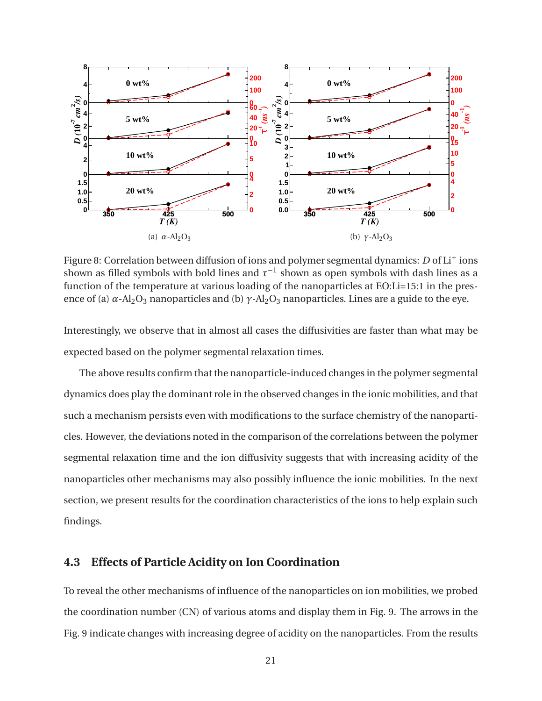

Figure 8: Correlation between diffusion of ions and polymer segmental dynamics: *D* of Li<sup>+</sup> ions shown as filled symbols with bold lines and  $\tau^{-1}$  shown as open symbols with dash lines as a function of the temperature at various loading of the nanoparticles at EO:Li=15:1 in the presence of (a)  $\alpha$ -Al<sub>2</sub>O<sub>3</sub> nanoparticles and (b)  $\gamma$ -Al<sub>2</sub>O<sub>3</sub> nanoparticles. Lines are a guide to the eye.

Interestingly, we observe that in almost all cases the diffusivities are faster than what may be expected based on the polymer segmental relaxation times.

The above results confirm that the nanoparticle-induced changes in the polymer segmental dynamics does play the dominant role in the observed changes in the ionic mobilities, and that such a mechanism persists even with modifications to the surface chemistry of the nanoparticles. However, the deviations noted in the comparison of the correlations between the polymer segmental relaxation time and the ion diffusivity suggests that with increasing acidity of the nanoparticles other mechanisms may also possibly influence the ionic mobilities. In the next section, we present results for the coordination characteristics of the ions to help explain such findings.

## **4.3 Effects of Particle Acidity on Ion Coordination**

To reveal the other mechanisms of influence of the nanoparticles on ion mobilities, we probed the coordination number (CN) of various atoms and display them in Fig. 9. The arrows in the Fig. 9 indicate changes with increasing degree of acidity on the nanoparticles. From the results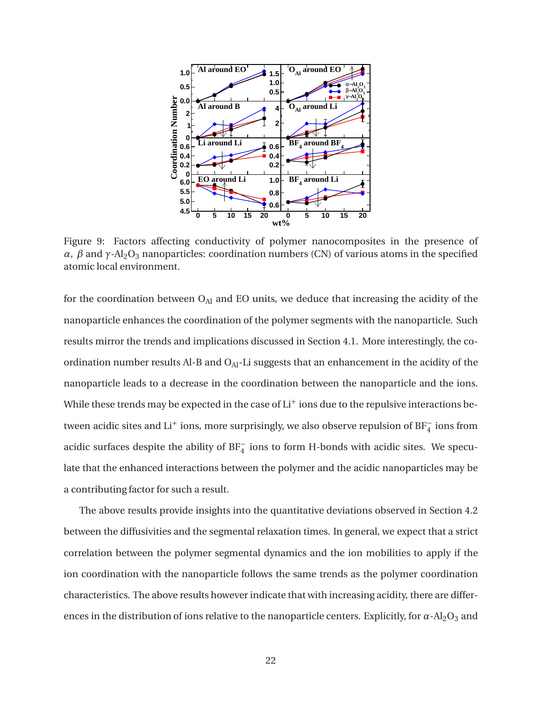

Figure 9: Factors affecting conductivity of polymer nanocomposites in the presence of *α*, *β* and *γ*-Al<sub>2</sub>O<sub>3</sub> nanoparticles: coordination numbers (CN) of various atoms in the specified atomic local environment.

for the coordination between  $O_{Al}$  and EO units, we deduce that increasing the acidity of the nanoparticle enhances the coordination of the polymer segments with the nanoparticle. Such results mirror the trends and implications discussed in Section 4.1. More interestingly, the coordination number results Al-B and  $O<sub>Al</sub>$ -Li suggests that an enhancement in the acidity of the nanoparticle leads to a decrease in the coordination between the nanoparticle and the ions. While these trends may be expected in the case of Li<sup>+</sup> ions due to the repulsive interactions between acidic sites and Li $^+$  ions, more surprisingly, we also observe repulsion of BF $_4^-$  ions from acidic surfaces despite the ability of  $BF_4^-$  ions to form H-bonds with acidic sites. We speculate that the enhanced interactions between the polymer and the acidic nanoparticles may be a contributing factor for such a result.

The above results provide insights into the quantitative deviations observed in Section 4.2 between the diffusivities and the segmental relaxation times. In general, we expect that a strict correlation between the polymer segmental dynamics and the ion mobilities to apply if the ion coordination with the nanoparticle follows the same trends as the polymer coordination characteristics. The above results however indicate that with increasing acidity, there are differences in the distribution of ions relative to the nanoparticle centers. Explicitly, for *α*-Al<sub>2</sub>O<sub>3</sub> and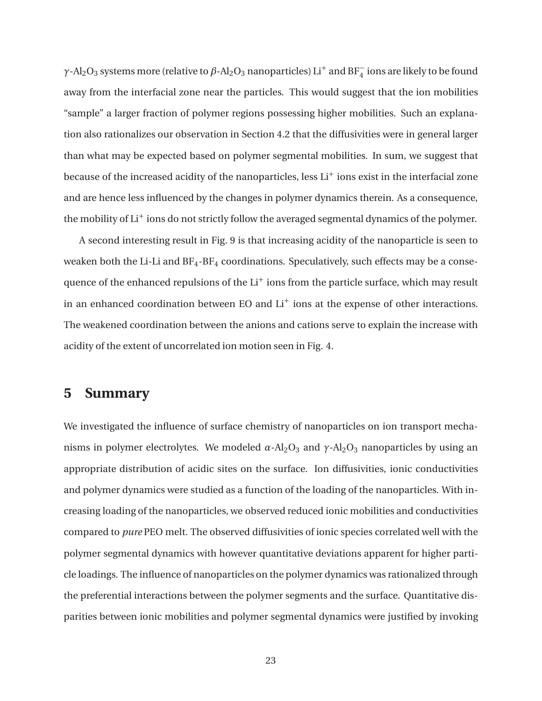$\gamma$ -Al<sub>2</sub>O<sub>3</sub> systems more (relative to  $\beta$ -Al<sub>2</sub>O<sub>3</sub> nanoparticles) Li<sup>+</sup> and BF $_4^-$  ions are likely to be found away from the interfacial zone near the particles. This would suggest that the ion mobilities "sample" a larger fraction of polymer regions possessing higher mobilities. Such an explanation also rationalizes our observation in Section 4.2 that the diffusivities were in general larger than what may be expected based on polymer segmental mobilities. In sum, we suggest that because of the increased acidity of the nanoparticles, less Li<sup>+</sup> ions exist in the interfacial zone and are hence less influenced by the changes in polymer dynamics therein. As a consequence, the mobility of Li<sup>+</sup> ions do not strictly follow the averaged segmental dynamics of the polymer.

A second interesting result in Fig. 9 is that increasing acidity of the nanoparticle is seen to weaken both the Li-Li and  $BF_4-BF_4$  coordinations. Speculatively, such effects may be a consequence of the enhanced repulsions of the  $Li<sup>+</sup>$  ions from the particle surface, which may result in an enhanced coordination between EO and Li<sup>+</sup> ions at the expense of other interactions. The weakened coordination between the anions and cations serve to explain the increase with acidity of the extent of uncorrelated ion motion seen in Fig. 4.

# **5 Summary**

We investigated the influence of surface chemistry of nanoparticles on ion transport mechanisms in polymer electrolytes. We modeled  $\alpha$ -Al<sub>2</sub>O<sub>3</sub> and  $\gamma$ -Al<sub>2</sub>O<sub>3</sub> nanoparticles by using an appropriate distribution of acidic sites on the surface. Ion diffusivities, ionic conductivities and polymer dynamics were studied as a function of the loading of the nanoparticles. With increasing loading of the nanoparticles, we observed reduced ionic mobilities and conductivities compared to *pure* PEO melt. The observed diffusivities of ionic species correlated well with the polymer segmental dynamics with however quantitative deviations apparent for higher particle loadings. The influence of nanoparticles on the polymer dynamics was rationalized through the preferential interactions between the polymer segments and the surface. Quantitative disparities between ionic mobilities and polymer segmental dynamics were justified by invoking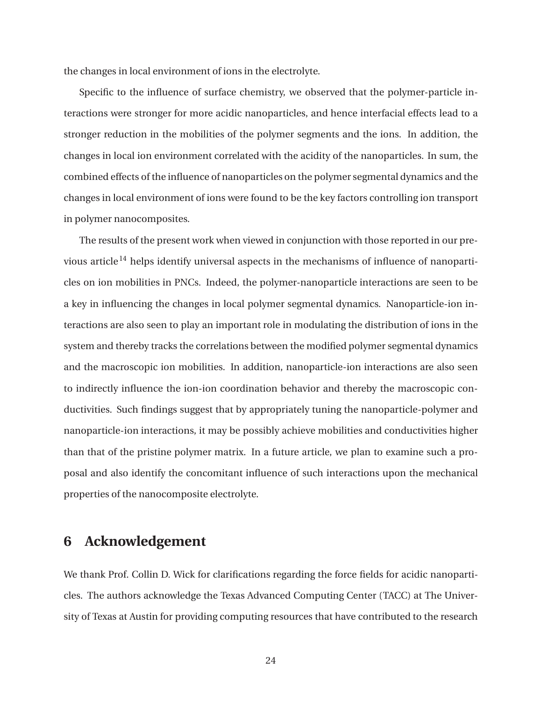the changes in local environment of ions in the electrolyte.

Specific to the influence of surface chemistry, we observed that the polymer-particle interactions were stronger for more acidic nanoparticles, and hence interfacial effects lead to a stronger reduction in the mobilities of the polymer segments and the ions. In addition, the changes in local ion environment correlated with the acidity of the nanoparticles. In sum, the combined effects of the influence of nanoparticles on the polymer segmental dynamics and the changes in local environment of ions were found to be the key factors controlling ion transport in polymer nanocomposites.

The results of the present work when viewed in conjunction with those reported in our previous article<sup>14</sup> helps identify universal aspects in the mechanisms of influence of nanoparticles on ion mobilities in PNCs. Indeed, the polymer-nanoparticle interactions are seen to be a key in influencing the changes in local polymer segmental dynamics. Nanoparticle-ion interactions are also seen to play an important role in modulating the distribution of ions in the system and thereby tracks the correlations between the modified polymer segmental dynamics and the macroscopic ion mobilities. In addition, nanoparticle-ion interactions are also seen to indirectly influence the ion-ion coordination behavior and thereby the macroscopic conductivities. Such findings suggest that by appropriately tuning the nanoparticle-polymer and nanoparticle-ion interactions, it may be possibly achieve mobilities and conductivities higher than that of the pristine polymer matrix. In a future article, we plan to examine such a proposal and also identify the concomitant influence of such interactions upon the mechanical properties of the nanocomposite electrolyte.

# **6 Acknowledgement**

We thank Prof. Collin D. Wick for clarifications regarding the force fields for acidic nanoparticles. The authors acknowledge the Texas Advanced Computing Center (TACC) at The University of Texas at Austin for providing computing resources that have contributed to the research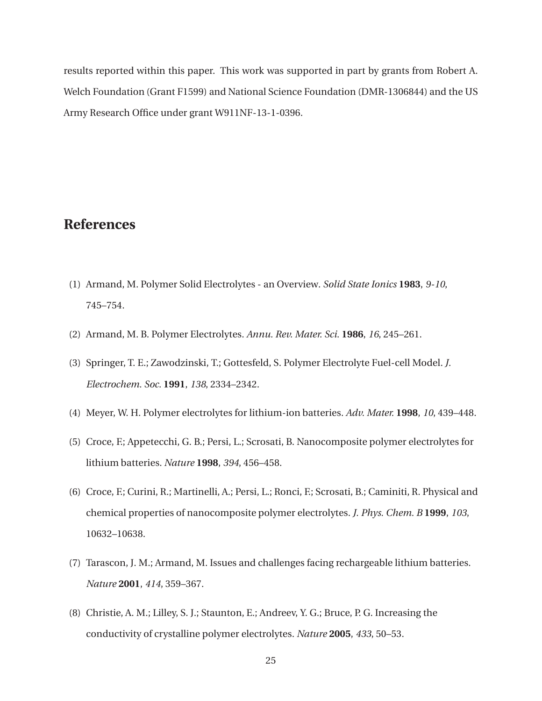results reported within this paper. This work was supported in part by grants from Robert A. Welch Foundation (Grant F1599) and National Science Foundation (DMR-1306844) and the US Army Research Office under grant W911NF-13-1-0396.

# **References**

- (1) Armand, M. Polymer Solid Electrolytes an Overview. *Solid State Ionics* **1983**, *9-10*, 745–754.
- (2) Armand, M. B. Polymer Electrolytes. *Annu. Rev. Mater. Sci.* **1986**, *16*, 245–261.
- (3) Springer, T. E.; Zawodzinski, T.; Gottesfeld, S. Polymer Electrolyte Fuel-cell Model. *J. Electrochem. Soc.* **1991**, *138*, 2334–2342.
- (4) Meyer, W. H. Polymer electrolytes for lithium-ion batteries. *Adv. Mater.* **1998**, *10*, 439–448.
- (5) Croce, F.; Appetecchi, G. B.; Persi, L.; Scrosati, B. Nanocomposite polymer electrolytes for lithium batteries. *Nature* **1998**, *394*, 456–458.
- (6) Croce, F.; Curini, R.; Martinelli, A.; Persi, L.; Ronci, F.; Scrosati, B.; Caminiti, R. Physical and chemical properties of nanocomposite polymer electrolytes. *J. Phys. Chem. B* **1999**, *103*, 10632–10638.
- (7) Tarascon, J. M.; Armand, M. Issues and challenges facing rechargeable lithium batteries. *Nature* **2001**, *414*, 359–367.
- (8) Christie, A. M.; Lilley, S. J.; Staunton, E.; Andreev, Y. G.; Bruce, P. G. Increasing the conductivity of crystalline polymer electrolytes. *Nature* **2005**, *433*, 50–53.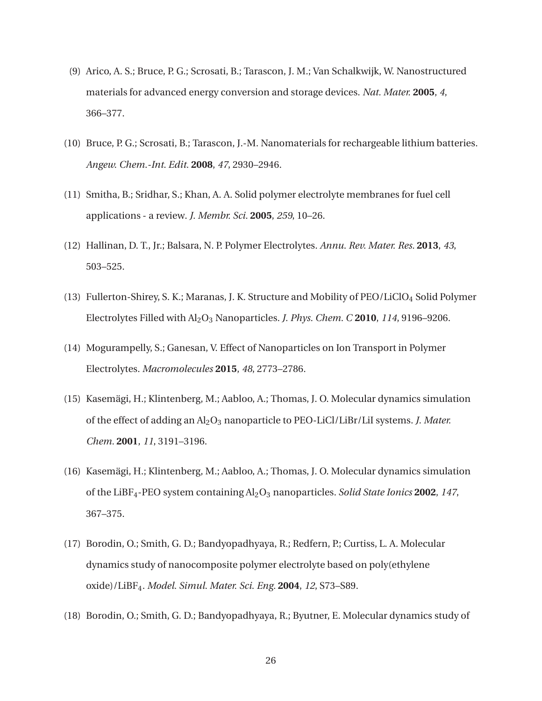- (9) Arico, A. S.; Bruce, P. G.; Scrosati, B.; Tarascon, J. M.; Van Schalkwijk, W. Nanostructured materials for advanced energy conversion and storage devices. *Nat. Mater.* **2005**, *4*, 366–377.
- (10) Bruce, P. G.; Scrosati, B.; Tarascon, J.-M. Nanomaterials for rechargeable lithium batteries. *Angew. Chem.-Int. Edit.* **2008**, *47*, 2930–2946.
- (11) Smitha, B.; Sridhar, S.; Khan, A. A. Solid polymer electrolyte membranes for fuel cell applications - a review. *J. Membr. Sci.* **2005**, *259*, 10–26.
- (12) Hallinan, D. T., Jr.; Balsara, N. P. Polymer Electrolytes. *Annu. Rev. Mater. Res.* **2013**, *43*, 503–525.
- (13) Fullerton-Shirey, S. K.; Maranas, J. K. Structure and Mobility of PEO/LiClO<sup>4</sup> Solid Polymer Electrolytes Filled with Al2O<sup>3</sup> Nanoparticles. *J. Phys. Chem. C* **2010**, *114*, 9196–9206.
- (14) Mogurampelly, S.; Ganesan, V. Effect of Nanoparticles on Ion Transport in Polymer Electrolytes. *Macromolecules* **2015**, *48*, 2773–2786.
- (15) Kasemägi, H.; Klintenberg, M.; Aabloo, A.; Thomas, J. O. Molecular dynamics simulation of the effect of adding an Al2O<sup>3</sup> nanoparticle to PEO-LiCl/LiBr/LiI systems. *J. Mater. Chem.* **2001**, *11*, 3191–3196.
- (16) Kasemägi, H.; Klintenberg, M.; Aabloo, A.; Thomas, J. O. Molecular dynamics simulation of the LiBF4-PEO system containing Al2O<sup>3</sup> nanoparticles. *Solid State Ionics* **2002**, *147*, 367–375.
- (17) Borodin, O.; Smith, G. D.; Bandyopadhyaya, R.; Redfern, P.; Curtiss, L. A. Molecular dynamics study of nanocomposite polymer electrolyte based on poly(ethylene oxide)/LiBF4. *Model. Simul. Mater. Sci. Eng.* **2004**, *12*, S73–S89.
- (18) Borodin, O.; Smith, G. D.; Bandyopadhyaya, R.; Byutner, E. Molecular dynamics study of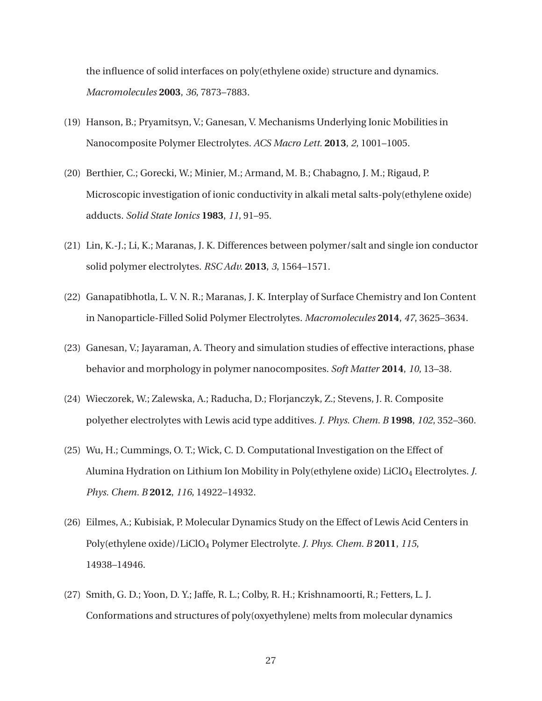the influence of solid interfaces on poly(ethylene oxide) structure and dynamics. *Macromolecules* **2003**, *36*, 7873–7883.

- (19) Hanson, B.; Pryamitsyn, V.; Ganesan, V. Mechanisms Underlying Ionic Mobilities in Nanocomposite Polymer Electrolytes. *ACS Macro Lett.* **2013**, *2*, 1001–1005.
- (20) Berthier, C.; Gorecki, W.; Minier, M.; Armand, M. B.; Chabagno, J. M.; Rigaud, P. Microscopic investigation of ionic conductivity in alkali metal salts-poly(ethylene oxide) adducts. *Solid State Ionics* **1983**, *11*, 91–95.
- (21) Lin, K.-J.; Li, K.; Maranas, J. K. Differences between polymer/salt and single ion conductor solid polymer electrolytes. *RSC Adv.* **2013**, *3*, 1564–1571.
- (22) Ganapatibhotla, L. V. N. R.; Maranas, J. K. Interplay of Surface Chemistry and Ion Content in Nanoparticle-Filled Solid Polymer Electrolytes. *Macromolecules* **2014**, *47*, 3625–3634.
- (23) Ganesan, V.; Jayaraman, A. Theory and simulation studies of effective interactions, phase behavior and morphology in polymer nanocomposites. *Soft Matter* **2014**, *10*, 13–38.
- (24) Wieczorek, W.; Zalewska, A.; Raducha, D.; Florjanczyk, Z.; Stevens, J. R. Composite polyether electrolytes with Lewis acid type additives. *J. Phys. Chem. B* **1998**, *102*, 352–360.
- (25) Wu, H.; Cummings, O. T.; Wick, C. D. Computational Investigation on the Effect of Alumina Hydration on Lithium Ion Mobility in Poly(ethylene oxide) LiClO<sup>4</sup> Electrolytes. *J. Phys. Chem. B* **2012**, *116*, 14922–14932.
- (26) Eilmes, A.; Kubisiak, P. Molecular Dynamics Study on the Effect of Lewis Acid Centers in Poly(ethylene oxide)/LiClO<sup>4</sup> Polymer Electrolyte. *J. Phys. Chem. B* **2011**, *115*, 14938–14946.
- (27) Smith, G. D.; Yoon, D. Y.; Jaffe, R. L.; Colby, R. H.; Krishnamoorti, R.; Fetters, L. J. Conformations and structures of poly(oxyethylene) melts from molecular dynamics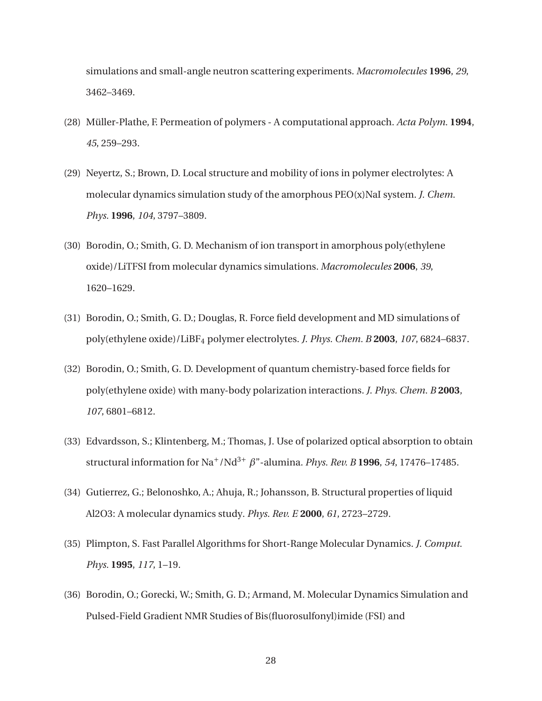simulations and small-angle neutron scattering experiments. *Macromolecules* **1996**, *29*, 3462–3469.

- (28) Müller-Plathe, F. Permeation of polymers A computational approach. *Acta Polym.* **1994**, *45*, 259–293.
- (29) Neyertz, S.; Brown, D. Local structure and mobility of ions in polymer electrolytes: A molecular dynamics simulation study of the amorphous PEO(x)NaI system. *J. Chem. Phys.* **1996**, *104*, 3797–3809.
- (30) Borodin, O.; Smith, G. D. Mechanism of ion transport in amorphous poly(ethylene oxide)/LiTFSI from molecular dynamics simulations. *Macromolecules* **2006**, *39*, 1620–1629.
- (31) Borodin, O.; Smith, G. D.; Douglas, R. Force field development and MD simulations of poly(ethylene oxide)/LiBF<sup>4</sup> polymer electrolytes. *J. Phys. Chem. B* **2003**, *107*, 6824–6837.
- (32) Borodin, O.; Smith, G. D. Development of quantum chemistry-based force fields for poly(ethylene oxide) with many-body polarization interactions. *J. Phys. Chem. B* **2003**, *107*, 6801–6812.
- (33) Edvardsson, S.; Klintenberg, M.; Thomas, J. Use of polarized optical absorption to obtain structural information for Na+/Nd3<sup>+</sup> *β*"-alumina. *Phys. Rev. B* **1996**, *54*, 17476–17485.
- (34) Gutierrez, G.; Belonoshko, A.; Ahuja, R.; Johansson, B. Structural properties of liquid Al2O3: A molecular dynamics study. *Phys. Rev. E* **2000**, *61*, 2723–2729.
- (35) Plimpton, S. Fast Parallel Algorithms for Short-Range Molecular Dynamics. *J. Comput. Phys.* **1995**, *117*, 1–19.
- (36) Borodin, O.; Gorecki, W.; Smith, G. D.; Armand, M. Molecular Dynamics Simulation and Pulsed-Field Gradient NMR Studies of Bis(fluorosulfonyl)imide (FSI) and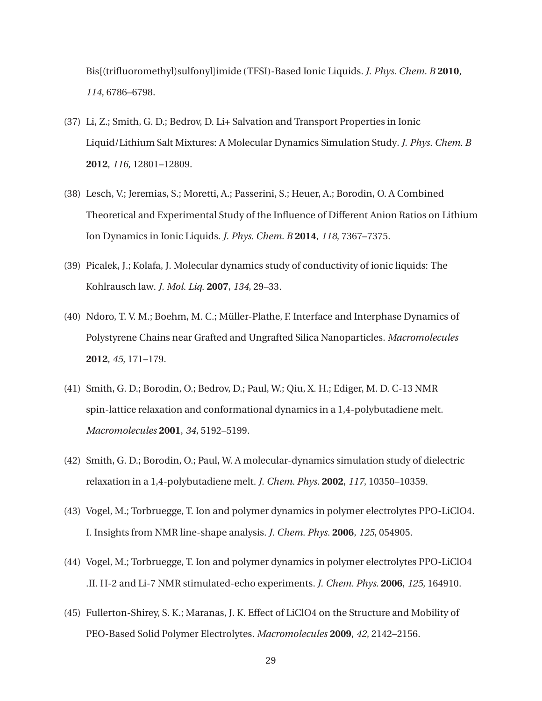Bis[(trifluoromethyl)sulfonyl]imide (TFSI)-Based Ionic Liquids. *J. Phys. Chem. B* **2010**, *114*, 6786–6798.

- (37) Li, Z.; Smith, G. D.; Bedrov, D. Li+ Salvation and Transport Properties in Ionic Liquid/Lithium Salt Mixtures: A Molecular Dynamics Simulation Study. *J. Phys. Chem. B* **2012**, *116*, 12801–12809.
- (38) Lesch, V.; Jeremias, S.; Moretti, A.; Passerini, S.; Heuer, A.; Borodin, O. A Combined Theoretical and Experimental Study of the Influence of Different Anion Ratios on Lithium Ion Dynamics in Ionic Liquids. *J. Phys. Chem. B* **2014**, *118*, 7367–7375.
- (39) Picalek, J.; Kolafa, J. Molecular dynamics study of conductivity of ionic liquids: The Kohlrausch law. *J. Mol. Liq.* **2007**, *134*, 29–33.
- (40) Ndoro, T. V. M.; Boehm, M. C.; Müller-Plathe, F. Interface and Interphase Dynamics of Polystyrene Chains near Grafted and Ungrafted Silica Nanoparticles. *Macromolecules* **2012**, *45*, 171–179.
- (41) Smith, G. D.; Borodin, O.; Bedrov, D.; Paul, W.; Qiu, X. H.; Ediger, M. D. C-13 NMR spin-lattice relaxation and conformational dynamics in a 1,4-polybutadiene melt. *Macromolecules* **2001**, *34*, 5192–5199.
- (42) Smith, G. D.; Borodin, O.; Paul, W. A molecular-dynamics simulation study of dielectric relaxation in a 1,4-polybutadiene melt. *J. Chem. Phys.* **2002**, *117*, 10350–10359.
- (43) Vogel, M.; Torbruegge, T. Ion and polymer dynamics in polymer electrolytes PPO-LiClO4. I. Insights from NMR line-shape analysis. *J. Chem. Phys.* **2006**, *125*, 054905.
- (44) Vogel, M.; Torbruegge, T. Ion and polymer dynamics in polymer electrolytes PPO-LiClO4 .II. H-2 and Li-7 NMR stimulated-echo experiments. *J. Chem. Phys.* **2006**, *125*, 164910.
- (45) Fullerton-Shirey, S. K.; Maranas, J. K. Effect of LiClO4 on the Structure and Mobility of PEO-Based Solid Polymer Electrolytes. *Macromolecules* **2009**, *42*, 2142–2156.